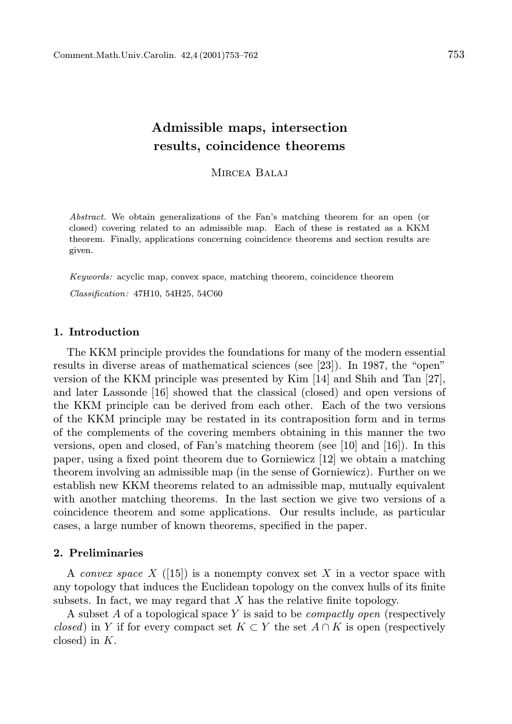# Admissible maps, intersection results, coincidence theorems

MIRCEA BALAJ

Abstract. We obtain generalizations of the Fan's matching theorem for an open (or closed) covering related to an admissible map. Each of these is restated as a KKM theorem. Finally, applications concerning coincidence theorems and section results are given.

Keywords: acyclic map, convex space, matching theorem, coincidence theorem Classification: 47H10, 54H25, 54C60

## 1. Introduction

The KKM principle provides the foundations for many of the modern essential results in diverse areas of mathematical sciences (see [23]). In 1987, the "open" version of the KKM principle was presented by Kim [14] and Shih and Tan [27], and later Lassonde [16] showed that the classical (closed) and open versions of the KKM principle can be derived from each other. Each of the two versions of the KKM principle may be restated in its contraposition form and in terms of the complements of the covering members obtaining in this manner the two versions, open and closed, of Fan's matching theorem (see [10] and [16]). In this paper, using a fixed point theorem due to Gorniewicz [12] we obtain a matching theorem involving an admissible map (in the sense of Gorniewicz). Further on we establish new KKM theorems related to an admissible map, mutually equivalent with another matching theorems. In the last section we give two versions of a coincidence theorem and some applications. Our results include, as particular cases, a large number of known theorems, specified in the paper.

## 2. Preliminaries

A convex space X ([15]) is a nonempty convex set X in a vector space with any topology that induces the Euclidean topology on the convex hulls of its finite subsets. In fact, we may regard that  $X$  has the relative finite topology.

A subset A of a topological space Y is said to be *compactly open* (respectively closed) in Y if for every compact set  $K \subset Y$  the set  $A \cap K$  is open (respectively closed) in K.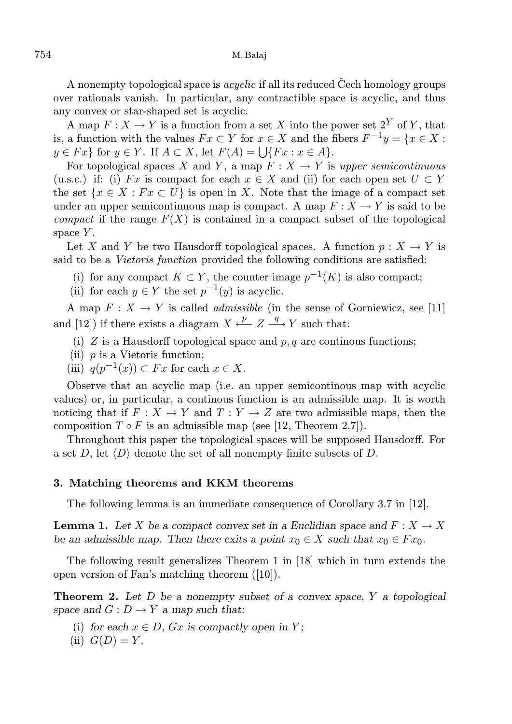A nonempty topological space is *acyclic* if all its reduced Cech homology groups over rationals vanish. In particular, any contractible space is acyclic, and thus any convex or star-shaped set is acyclic.

A map  $F: X \to Y$  is a function from a set X into the power set  $2^Y$  of Y, that is, a function with the values  $Fx \subset Y$  for  $x \in X$  and the fibers  $F^{-1}y = \{x \in X :$  $y \in Fx$  for  $y \in Y$ . If  $A \subset X$ , let  $F(A) = \bigcup \{Fx : x \in A\}$ .

For topological spaces X and Y, a map  $F: X \to Y$  is upper semicontinuous (u.s.c.) if: (i) Fx is compact for each  $x \in X$  and (ii) for each open set  $U \subset Y$ the set  $\{x \in X : F x \subset U\}$  is open in X. Note that the image of a compact set under an upper semicontinuous map is compact. A map  $F: X \to Y$  is said to be *compact* if the range  $F(X)$  is contained in a compact subset of the topological space  $Y$ .

Let X and Y be two Hausdorff topological spaces. A function  $p : X \to Y$  is said to be a Vietoris function provided the following conditions are satisfied:

- (i) for any compact  $K \subset Y$ , the counter image  $p^{-1}(K)$  is also compact;
- (ii) for each  $y \in Y$  the set  $p^{-1}(y)$  is acyclic.

A map  $F: X \to Y$  is called *admissible* (in the sense of Gorniewicz, see [11] and [12]) if there exists a diagram  $X \xleftarrow{p} Z \xrightarrow{q} Y$  such that:

- (i)  $Z$  is a Hausdorff topological space and  $p, q$  are continous functions;
- (ii)  $p$  is a Vietoris function;
- (iii)  $q(p^{-1}(x)) \subset Fx$  for each  $x \in X$ .

Observe that an acyclic map (i.e. an upper semicontinous map with acyclic values) or, in particular, a continous function is an admissible map. It is worth noticing that if  $F: X \to Y$  and  $T: Y \to Z$  are two admissible maps, then the composition  $T \circ F$  is an admissible map (see [12, Theorem 2.7]).

Throughout this paper the topological spaces will be supposed Hausdorff. For a set D, let  $\langle D \rangle$  denote the set of all nonempty finite subsets of D.

#### 3. Matching theorems and KKM theorems

The following lemma is an immediate consequence of Corollary 3.7 in [12].

**Lemma 1.** Let X be a compact convex set in a Euclidian space and  $F: X \to X$ be an admissible map. Then there exits a point  $x_0 \in X$  such that  $x_0 \in F x_0$ .

The following result generalizes Theorem 1 in [18] which in turn extends the open version of Fan's matching theorem ([10]).

**Theorem 2.** Let  $D$  be a nonempty subset of a convex space,  $Y$  a topological space and  $G: D \to Y$  a map such that:

- (i) for each  $x \in D$ ,  $Gx$  is compactly open in Y;
- (ii)  $G(D) = Y$ .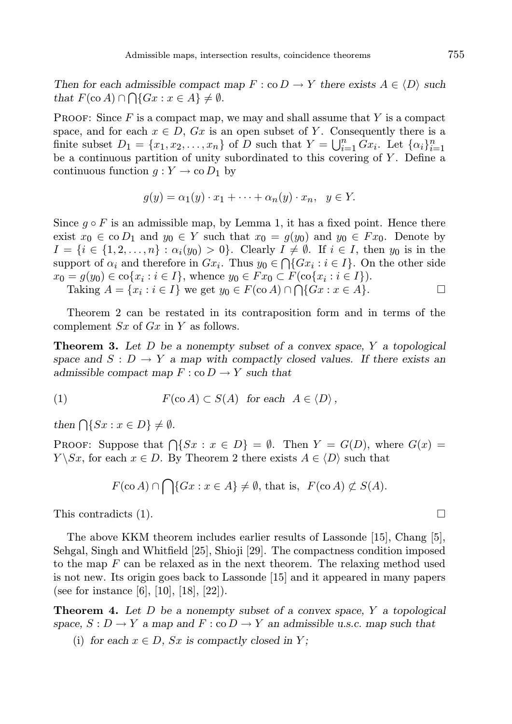Then for each admissible compact map  $F : \text{co } D \to Y$  there exists  $A \in \langle D \rangle$  such that  $F(\text{co }A) \cap \bigcap \{Gx : x \in A\} \neq \emptyset$ .

**PROOF:** Since  $F$  is a compact map, we may and shall assume that  $Y$  is a compact space, and for each  $x \in D$ ,  $Gx$  is an open subset of Y. Consequently there is a finite subset  $D_1 = \{x_1, x_2, \ldots, x_n\}$  of D such that  $Y = \bigcup_{i=1}^n Gx_i$ . Let  $\{\alpha_i\}_{i=1}^n$ be a continuous partition of unity subordinated to this covering of  $Y$ . Define a continuous function  $g: Y \to \infty D_1$  by

$$
g(y) = \alpha_1(y) \cdot x_1 + \dots + \alpha_n(y) \cdot x_n, \ \ y \in Y.
$$

Since  $g \circ F$  is an admissible map, by Lemma 1, it has a fixed point. Hence there exist  $x_0 \in \infty$  D<sub>1</sub> and  $y_0 \in Y$  such that  $x_0 = g(y_0)$  and  $y_0 \in Fx_0$ . Denote by  $I = \{i \in \{1, 2, \ldots, n\} : \alpha_i(y_0) > 0\}$ . Clearly  $I \neq \emptyset$ . If  $i \in I$ , then  $y_0$  is in the support of  $\alpha_i$  and therefore in  $Gx_i$ . Thus  $y_0 \in \bigcap \{Gx_i : i \in I\}$ . On the other side  $x_0 = g(y_0) \in \text{co}\{x_i : i \in I\},\$  whence  $y_0 \in F x_0 \subset F(\text{co}\{x_i : i \in I\}).$ 

Taking  $A = \{x_i : i \in I\}$  we get  $y_0 \in F(\text{co }A) \cap \bigcap \{Gx : x \in A\}.$ 

Theorem 2 can be restated in its contraposition form and in terms of the complement  $Sx$  of  $Gx$  in Y as follows.

**Theorem 3.** Let  $D$  be a nonempty subset of a convex space,  $Y$  a topological space and  $S: D \to Y$  a map with compactly closed values. If there exists an admissible compact map  $F : co D \to Y$  such that

(1) 
$$
F(\text{co }A) \subset S(A) \text{ for each } A \in \langle D \rangle,
$$

then  $\bigcap \{Sx : x \in D\} \neq \emptyset$ .

PROOF: Suppose that  $\bigcap \{Sx : x \in D\} = \emptyset$ . Then  $Y = G(D)$ , where  $G(x) =$  $Y \setminus Sx$ , for each  $x \in D$ . By Theorem 2 there exists  $A \in \langle D \rangle$  such that

$$
F(\text{co }A) \cap \bigcap \{Gx : x \in A\} \neq \emptyset, \text{ that is, } F(\text{co }A) \not\subset S(A).
$$

This contradicts (1).

The above KKM theorem includes earlier results of Lassonde [15], Chang [5], Sehgal, Singh and Whitfield [25], Shioji [29]. The compactness condition imposed to the map  $F$  can be relaxed as in the next theorem. The relaxing method used is not new. Its origin goes back to Lassonde [15] and it appeared in many papers (see for instance [6], [10], [18], [22]).

**Theorem 4.** Let  $D$  be a nonempty subset of a convex space,  $Y$  a topological space,  $S: D \to Y$  a map and  $F: co D \to Y$  an admissible u.s.c. map such that

(i) for each  $x \in D$ , Sx is compactly closed in Y;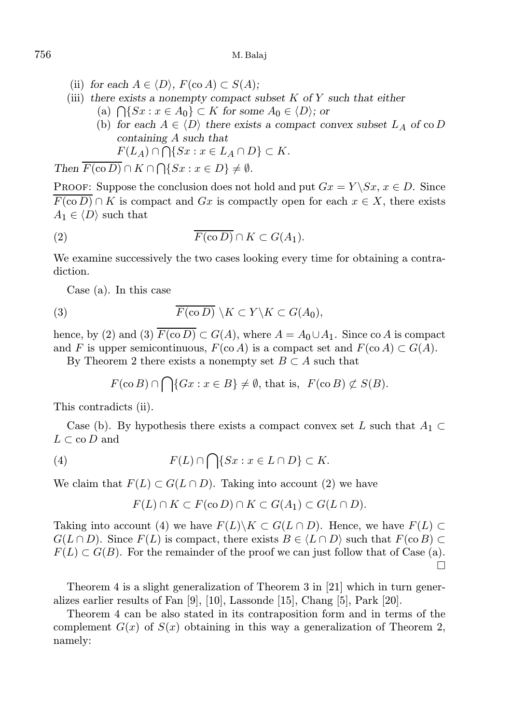- (ii) for each  $A \in \langle D \rangle$ ,  $F(\text{co } A) \subset S(A)$ ;
- (iii) there exists a nonempty compact subset  $K$  of  $Y$  such that either (a)  $\bigcap \{Sx : x \in A_0\} \subset K$  for some  $A_0 \in \langle D \rangle$ ; or
	- (b) for each  $A \in \langle D \rangle$  there exists a compact convex subset  $L_A$  of co D containing A such that

$$
F(L_A) \cap \bigcap \{Sx : x \in L_A \cap D\} \subset K.
$$

Then  $F(\text{co } D) \cap K \cap \bigcap \{Sx : x \in D\} \neq \emptyset$ .

PROOF: Suppose the conclusion does not hold and put  $Gx = Y \ S x, x \in D$ . Since  $\overline{F(\text{co }D)} \cap K$  is compact and Gx is compactly open for each  $x \in X$ , there exists  $A_1 \in \langle D \rangle$  such that

(2) 
$$
\overline{F(\text{co }D)} \cap K \subset G(A_1).
$$

We examine successively the two cases looking every time for obtaining a contradiction.

Case (a). In this case

(3) 
$$
\overline{F(\text{co }D)} \setminus K \subset Y \setminus K \subset G(A_0),
$$

hence, by (2) and (3)  $\overline{F(\text{co }D)} \subset G(A)$ , where  $A = A_0 \cup A_1$ . Since co A is compact and F is upper semicontinuous,  $F(\text{co } A)$  is a compact set and  $F(\text{co } A) \subset G(A)$ .

By Theorem 2 there exists a nonempty set  $B \subset A$  such that

$$
F(\operatorname{co} B) \cap \bigcap \{Gx : x \in B\} \neq \emptyset, \text{ that is, } F(\operatorname{co} B) \not\subset S(B).
$$

This contradicts (ii).

Case (b). By hypothesis there exists a compact convex set L such that  $A_1 \subset$  $L \subset \text{co } D$  and

(4) 
$$
F(L) \cap \bigcap \{Sx : x \in L \cap D\} \subset K.
$$

We claim that  $F(L) \subset G(L \cap D)$ . Taking into account (2) we have

$$
F(L) \cap K \subset F(\text{co }D) \cap K \subset G(A_1) \subset G(L \cap D).
$$

Taking into account (4) we have  $F(L)\backslash K \subset G(L\cap D)$ . Hence, we have  $F(L) \subset$  $G(L \cap D)$ . Since  $F(L)$  is compact, there exists  $B \in \langle L \cap D \rangle$  such that  $F(\text{co } B) \subset$  $F(L) \subset G(B)$ . For the remainder of the proof we can just follow that of Case (a).  $\Box$ 

Theorem 4 is a slight generalization of Theorem 3 in [21] which in turn generalizes earlier results of Fan [9], [10], Lassonde [15], Chang [5], Park [20].

Theorem 4 can be also stated in its contraposition form and in terms of the complement  $G(x)$  of  $S(x)$  obtaining in this way a generalization of Theorem 2, namely:

$$
756\,
$$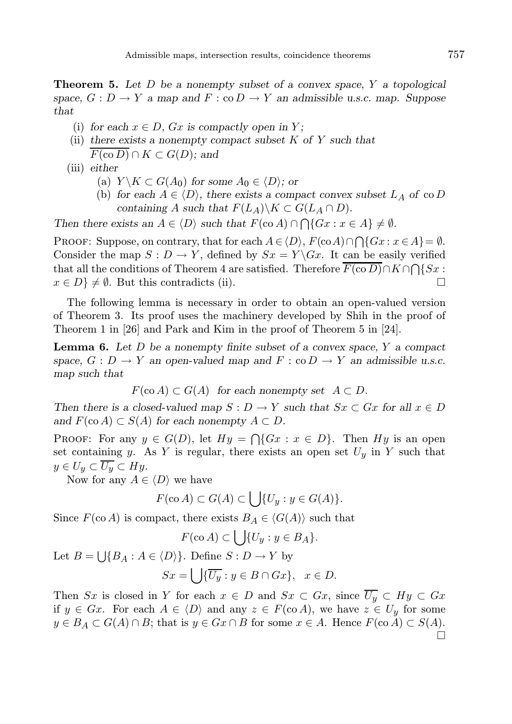**Theorem 5.** Let  $D$  be a nonempty subset of a convex space,  $Y$  a topological space,  $G: D \to Y$  a map and  $F: co D \to Y$  an admissible u.s.c. map. Suppose that

- (i) for each  $x \in D$ ,  $Gx$  is compactly open in Y;
- (ii) there exists a nonempty compact subset  $K$  of  $Y$  such that
- $F(\text{co }D) \cap K \subset G(D)$ ; and
- (iii) either
	- (a)  $Y \backslash K \subset G(A_0)$  for some  $A_0 \in \langle D \rangle$ ; or
	- (b) for each  $A \in \langle D \rangle$ , there exists a compact convex subset  $L_A$  of co D containing A such that  $F(L_A)\backslash K \subset G(L_A \cap D)$ .

Then there exists an  $A \in \langle D \rangle$  such that  $F(\text{co } A) \cap \bigcap \{Gx : x \in A\} \neq \emptyset$ .

PROOF: Suppose, on contrary, that for each  $A \in \langle D \rangle$ ,  $F(\text{co }A) \cap \bigcap \{Gx : x \in A\} = \emptyset$ . Consider the map  $S: D \to Y$ , defined by  $Sx = Y \setminus Gx$ . It can be easily verified that all the conditions of Theorem 4 are satisfied. Therefore  $F(\text{co } D) \cap K \cap \bigcap \{Sx :$  $x \in D$   $\neq \emptyset$ . But this contradicts (ii).

The following lemma is necessary in order to obtain an open-valued version of Theorem 3. Its proof uses the machinery developed by Shih in the proof of Theorem 1 in [26] and Park and Kim in the proof of Theorem 5 in [24].

**Lemma 6.** Let  $D$  be a nonempty finite subset of a convex space,  $Y$  a compact space,  $G : D \to Y$  an open-valued map and  $F : co D \to Y$  an admissible u.s.c. map such that

$$
F(\text{co }A) \subset G(A)
$$
 for each nonempty set  $A \subset D$ .

Then there is a closed-valued map  $S: D \to Y$  such that  $Sx \subset Gx$  for all  $x \in D$ and  $F(\text{co }A) \subset S(A)$  for each nonempty  $A \subset D$ .

PROOF: For any  $y \in G(D)$ , let  $Hy = \bigcap \{Gx : x \in D\}$ . Then  $Hy$  is an open set containing y. As Y is regular, there exists an open set  $U_y$  in Y such that  $y \in U_y \subset \overline{U_y} \subset Hy.$ 

Now for any  $A \in \langle D \rangle$  we have

$$
F(\operatorname{co} A) \subset G(A) \subset \bigcup \{U_y : y \in G(A)\}.
$$

Since  $F(\text{co }A)$  is compact, there exists  $B_A \in \langle G(A) \rangle$  such that

$$
F(\operatorname{co} A) \subset \bigcup \{U_y : y \in B_A\}.
$$

Let  $B = \bigcup \{B_A : A \in \langle D \rangle\}$ . Define  $S : D \to Y$  by

$$
Sx = \bigcup \{ \overline{U_y} : y \in B \cap Gx \}, \quad x \in D.
$$

Then Sx is closed in Y for each  $x \in D$  and  $Sx \subset Gx$ , since  $\overline{U_y} \subset Hy \subset Gx$ if  $y \in Gx$ . For each  $A \in \langle D \rangle$  and any  $z \in F(\text{co } A)$ , we have  $z \in U_y$  for some  $y \in B_A \subset G(A) \cap B$ ; that is  $y \in Gx \cap B$  for some  $x \in A$ . Hence  $F(\text{co }A) \subset S(A)$ .  $\Box$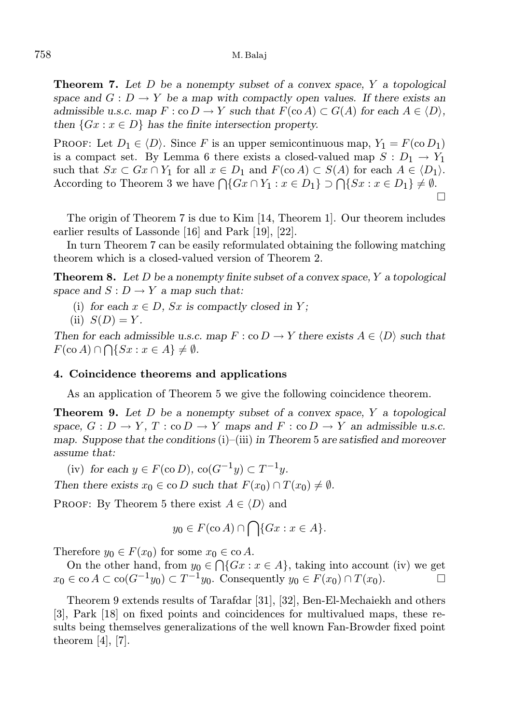**Theorem 7.** Let  $D$  be a nonempty subset of a convex space,  $Y$  a topological space and  $G: D \to Y$  be a map with compactly open values. If there exists an admissible u.s.c. map  $F : co D \to Y$  such that  $F(co A) \subset G(A)$  for each  $A \in \langle D \rangle$ , then  $\{Gx : x \in D\}$  has the finite intersection property.

PROOF: Let  $D_1 \in \langle D \rangle$ . Since F is an upper semicontinuous map,  $Y_1 = F(\text{co } D_1)$ is a compact set. By Lemma 6 there exists a closed-valued map  $S: D_1 \to Y_1$ such that  $Sx \subset Gx \cap Y_1$  for all  $x \in D_1$  and  $F(\text{co }A) \subset S(A)$  for each  $A \in \langle D_1 \rangle$ . According to Theorem 3 we have  $\bigcap \{Gx \cap Y_1 : x \in D_1\} \supset \bigcap \{Sx : x \in D_1\} \neq \emptyset$ .  $\Box$ 

The origin of Theorem 7 is due to Kim [14, Theorem 1]. Our theorem includes earlier results of Lassonde [16] and Park [19], [22].

In turn Theorem 7 can be easily reformulated obtaining the following matching theorem which is a closed-valued version of Theorem 2.

**Theorem 8.** Let  $D$  be a nonempty finite subset of a convex space,  $Y$  a topological space and  $S: D \to Y$  a map such that:

(i) for each  $x \in D$ , Sx is compactly closed in Y;

(ii) 
$$
S(D) = Y
$$
.

Then for each admissible u.s.c. map  $F : \text{co } D \to Y$  there exists  $A \in \langle D \rangle$  such that  $F(\text{co }A) \cap \bigcap \{Sx : x \in A\} \neq \emptyset.$ 

## 4. Coincidence theorems and applications

As an application of Theorem 5 we give the following coincidence theorem.

**Theorem 9.** Let  $D$  be a nonempty subset of a convex space,  $Y$  a topological space,  $G: D \to Y$ ,  $T: co D \to Y$  maps and  $F: co D \to Y$  an admissible u.s.c. map. Suppose that the conditions  $(i)$ – $(iii)$  in Theorem 5 are satisfied and moreover assume that:

(iv) for each  $y \in F(\text{co } D)$ ,  $\text{co}(G^{-1}y) \subset T^{-1}y$ .

Then there exists  $x_0 \in \text{co } D$  such that  $F(x_0) \cap T(x_0) \neq \emptyset$ .

PROOF: By Theorem 5 there exist  $A \in \langle D \rangle$  and

$$
y_0 \in F(\text{co }A) \cap \bigcap \{Gx : x \in A\}.
$$

Therefore  $y_0 \in F(x_0)$  for some  $x_0 \in \text{co } A$ .

On the other hand, from  $y_0 \in \bigcap \{Gx : x \in A\}$ , taking into account (iv) we get  $x_0 \in \text{co } A \subset \text{co}(G^{-1}y_0) \subset T^{-1}y_0$ . Consequently  $y_0 \in F(x_0) \cap T(x_0)$ .

Theorem 9 extends results of Tarafdar [31], [32], Ben-El-Mechaiekh and others [3], Park [18] on fixed points and coincidences for multivalued maps, these results being themselves generalizations of the well known Fan-Browder fixed point theorem  $[4]$ ,  $[7]$ .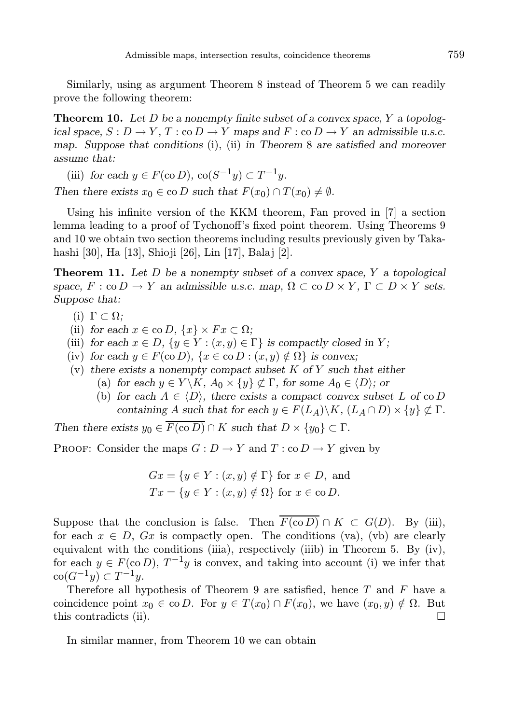Similarly, using as argument Theorem 8 instead of Theorem 5 we can readily prove the following theorem:

**Theorem 10.** Let D be a nonempty finite subset of a convex space, Y a topological space,  $S: D \to Y$ ,  $T: co D \to Y$  maps and  $F: co D \to Y$  an admissible u.s.c. map. Suppose that conditions (i), (ii) in Theorem 8 are satisfied and moreover assume that:

(iii) for each  $y \in F(\text{co } D)$ ,  $\text{co}(S^{-1}y) \subset T^{-1}y$ .

Then there exists  $x_0 \in \text{co } D$  such that  $F(x_0) \cap T(x_0) \neq \emptyset$ .

Using his infinite version of the KKM theorem, Fan proved in [7] a section lemma leading to a proof of Tychonoff's fixed point theorem. Using Theorems 9 and 10 we obtain two section theorems including results previously given by Takahashi [30], Ha [13], Shioji [26], Lin [17], Balaj [2].

**Theorem 11.** Let  $D$  be a nonempty subset of a convex space,  $Y$  a topological space,  $F : co D \to Y$  an admissible u.s.c. map,  $\Omega \subset co D \times Y$ ,  $\Gamma \subset D \times Y$  sets. Suppose that:

- (i)  $\Gamma \subset \Omega$ ;
- (ii) for each  $x \in \text{co } D$ ,  $\{x\} \times F x \subset \Omega$ ;
- (iii) for each  $x \in D$ ,  $\{y \in Y : (x, y) \in \Gamma\}$  is compactly closed in Y;
- (iv) for each  $y \in F(\text{co } D)$ ,  $\{x \in \text{co } D : (x, y) \notin \Omega\}$  is convex;
- (v) there exists a nonempty compact subset  $K$  of  $Y$  such that either
	- (a) for each  $y \in Y \backslash K$ ,  $A_0 \times \{y\} \not\subset \Gamma$ , for some  $A_0 \in \langle D \rangle$ ; or
	- (b) for each  $A \in \langle D \rangle$ , there exists a compact convex subset L of co D containing A such that for each  $y \in F(L_A) \backslash K$ ,  $(L_A \cap D) \times \{y\} \not\subset \Gamma$ .

Then there exists  $y_0 \in \overline{F(\text{co }D)} \cap K$  such that  $D \times \{y_0\} \subset \Gamma$ .

PROOF: Consider the maps  $G: D \to Y$  and  $T: co D \to Y$  given by

$$
Gx = \{ y \in Y : (x, y) \notin \Gamma \} \text{ for } x \in D, \text{ and}
$$
  

$$
Tx = \{ y \in Y : (x, y) \notin \Omega \} \text{ for } x \in \text{co } D.
$$

Suppose that the conclusion is false. Then  $\overline{F(\text{co }D)} \cap K \subset G(D)$ . By (iii), for each  $x \in D$ ,  $Gx$  is compactly open. The conditions (va), (vb) are clearly equivalent with the conditions (iiia), respectively (iiib) in Theorem 5. By (iv), for each  $y \in F(\text{co } D)$ ,  $T^{-1}y$  is convex, and taking into account (i) we infer that  $\operatorname{co}(G^{-1}y) \subset T^{-1}y.$ 

Therefore all hypothesis of Theorem 9 are satisfied, hence  $T$  and  $F$  have a coincidence point  $x_0 \in \text{co } D$ . For  $y \in T(x_0) \cap F(x_0)$ , we have  $(x_0, y) \notin \Omega$ . But this contradicts (ii).  $\Box$ 

In similar manner, from Theorem 10 we can obtain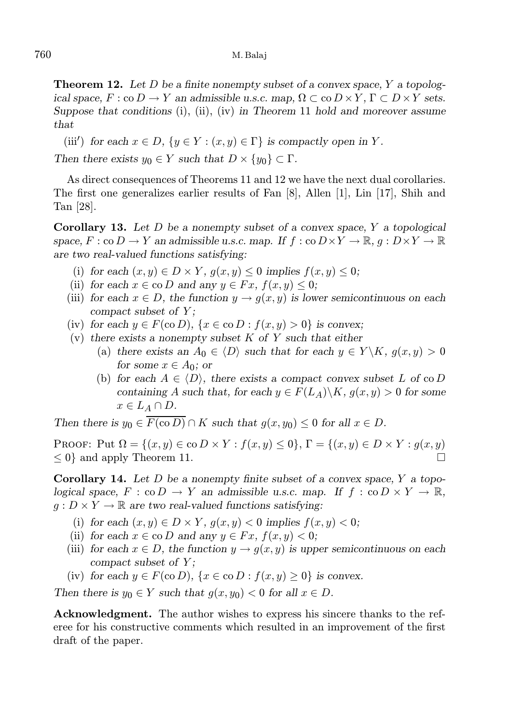**Theorem 12.** Let D be a finite nonempty subset of a convex space, Y a topological space,  $F : co D \to Y$  an admissible u.s.c. map,  $\Omega \subset co D \times Y$ ,  $\Gamma \subset D \times Y$  sets. Suppose that conditions (i), (ii), (iv) in Theorem 11 hold and moreover assume that

(iii') for each  $x \in D$ ,  $\{y \in Y : (x, y) \in \Gamma\}$  is compactly open in Y.

Then there exists  $y_0 \in Y$  such that  $D \times \{y_0\} \subset \Gamma$ .

As direct consequences of Theorems 11 and 12 we have the next dual corollaries. The first one generalizes earlier results of Fan [8], Allen [1], Lin [17], Shih and Tan [28].

**Corollary 13.** Let D be a nonempty subset of a convex space, Y a topological space,  $F : co D \to Y$  an admissible u.s.c. map. If  $f : co D \times Y \to \mathbb{R}$ ,  $g : D \times Y \to \mathbb{R}$ are two real-valued functions satisfying:

- (i) for each  $(x, y) \in D \times Y$ ,  $g(x, y) \le 0$  implies  $f(x, y) \le 0$ ;
- (ii) for each  $x \in \infty$  D and any  $y \in Fx$ ,  $f(x, y) \leq 0$ ;
- (iii) for each  $x \in D$ , the function  $y \to q(x, y)$  is lower semicontinuous on each compact subset of Y;
- (iv) for each  $y \in F(\text{co } D)$ ,  $\{x \in \text{co } D : f(x, y) > 0\}$  is convex;
- (v) there exists a nonempty subset  $K$  of  $Y$  such that either
	- (a) there exists an  $A_0 \in \langle D \rangle$  such that for each  $y \in Y \backslash K$ ,  $g(x, y) > 0$ for some  $x \in A_0$ ; or
	- (b) for each  $A \in \langle D \rangle$ , there exists a compact convex subset L of co D containing A such that, for each  $y \in F(L_A) \backslash K$ ,  $g(x, y) > 0$  for some  $x \in L_A \cap D$ .

Then there is  $y_0 \in \overline{F(\text{co } D)} \cap K$  such that  $g(x, y_0) \leq 0$  for all  $x \in D$ .

PROOF: Put  $\Omega = \{(x, y) \in \text{co } D \times Y : f(x, y) \leq 0\}$ ,  $\Gamma = \{(x, y) \in D \times Y : g(x, y) \in D \times Y\}$  $\leq 0$ } and apply Theorem 11.

**Corollary 14.** Let D be a nonempty finite subset of a convex space,  $Y$  a topological space,  $F : \text{co } D \to Y$  an admissible u.s.c. map. If  $f : \text{co } D \times Y \to \mathbb{R}$ ,  $g: D \times Y \to \mathbb{R}$  are two real-valued functions satisfying:

- (i) for each  $(x, y) \in D \times Y$ ,  $g(x, y) < 0$  implies  $f(x, y) < 0$ ;
- (ii) for each  $x \in \text{co } D$  and any  $y \in Fx$ ,  $f(x, y) < 0$ ;
- (iii) for each  $x \in D$ , the function  $y \to g(x, y)$  is upper semicontinuous on each compact subset of  $Y$ ;
- (iv) for each  $y \in F(\text{co } D)$ ,  $\{x \in \text{co } D : f(x, y) \geq 0\}$  is convex.

Then there is  $y_0 \in Y$  such that  $g(x, y_0) < 0$  for all  $x \in D$ .

Acknowledgment. The author wishes to express his sincere thanks to the referee for his constructive comments which resulted in an improvement of the first draft of the paper.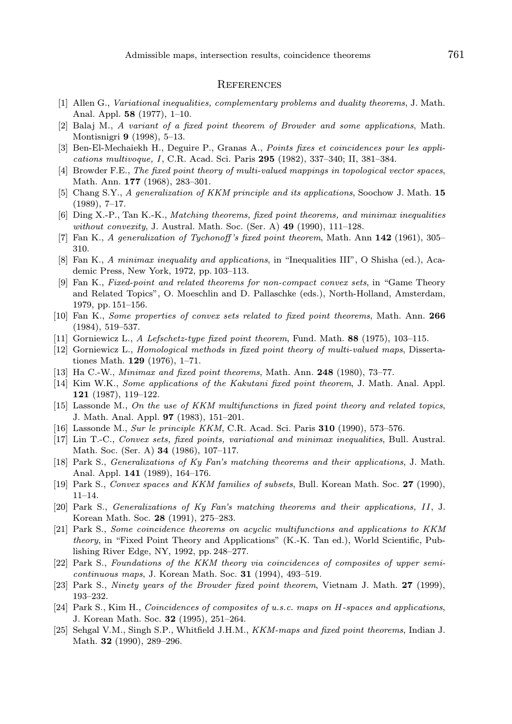#### **REFERENCES**

- [1] Allen G., Variational inequalities, complementary problems and duality theorems, J. Math. Anal. Appl. 58 (1977), 1–10.
- [2] Balaj M., A variant of a fixed point theorem of Browder and some applications, Math. Montisnigri 9 (1998), 5–13.
- [3] Ben-El-Mechaiekh H., Deguire P., Granas A., Points fixes et coincidences pour les applications multivoque, I, C.R. Acad. Sci. Paris 295 (1982), 337–340; II, 381–384.
- [4] Browder F.E., The fixed point theory of multi-valued mappings in topological vector spaces, Math. Ann. 177 (1968), 283–301.
- [5] Chang S.Y., A generalization of KKM principle and its applications, Soochow J. Math. 15 (1989), 7–17.
- [6] Ding X.-P., Tan K.-K., Matching theorems, fixed point theorems, and minimax inequalities without convexity, J. Austral. Math. Soc. (Ser. A)  $49$  (1990), 111–128.
- [7] Fan K., A generalization of Tychonoff's fixed point theorem, Math. Ann 142 (1961), 305– 310.
- [8] Fan K., A minimax inequality and applications, in "Inequalities III", O Shisha (ed.), Academic Press, New York, 1972, pp. 103–113.
- [9] Fan K., Fixed-point and related theorems for non-compact convex sets, in "Game Theory and Related Topics", O. Moeschlin and D. Pallaschke (eds.), North-Holland, Amsterdam, 1979, pp. 151–156.
- [10] Fan K., Some properties of convex sets related to fixed point theorems, Math. Ann. 266 (1984), 519–537.
- [11] Gorniewicz L., A Lefschetz-type fixed point theorem, Fund. Math. 88 (1975), 103-115.
- [12] Gorniewicz L., Homological methods in fixed point theory of multi-valued maps, Dissertationes Math. 129 (1976), 1–71.
- [13] Ha C.-W., Minimax and fixed point theorems, Math. Ann. 248 (1980), 73-77.
- [14] Kim W.K., Some applications of the Kakutani fixed point theorem, J. Math. Anal. Appl. 121 (1987), 119–122.
- [15] Lassonde M., On the use of KKM multifunctions in fixed point theory and related topics, J. Math. Anal. Appl. 97 (1983), 151–201.
- [16] Lassonde M., Sur le principle KKM, C.R. Acad. Sci. Paris 310 (1990), 573–576.
- [17] Lin T.-C., Convex sets, fixed points, variational and minimax inequalities, Bull. Austral. Math. Soc. (Ser. A) 34 (1986), 107–117.
- [18] Park S., *Generalizations of Ky Fan's matching theorems and their applications*, J. Math. Anal. Appl. 141 (1989), 164–176.
- [19] Park S., Convex spaces and KKM families of subsets, Bull. Korean Math. Soc. 27 (1990), 11–14.
- [20] Park S., Generalizations of Ky Fan's matching theorems and their applications, II, J. Korean Math. Soc. 28 (1991), 275–283.
- [21] Park S., Some coincidence theorems on acyclic multifunctions and applications to KKM theory, in "Fixed Point Theory and Applications" (K.-K. Tan ed.), World Scientific, Publishing River Edge, NY, 1992, pp. 248–277.
- [22] Park S., Foundations of the KKM theory via coincidences of composites of upper semicontinuous maps, J. Korean Math. Soc. 31 (1994), 493–519.
- [23] Park S., Ninety years of the Browder fixed point theorem, Vietnam J. Math. 27 (1999), 193–232.
- [24] Park S., Kim H., Coincidences of composites of u.s.c. maps on H-spaces and applications, J. Korean Math. Soc. 32 (1995), 251–264.
- [25] Sehgal V.M., Singh S.P., Whitfield J.H.M., KKM-maps and fixed point theorems, Indian J. Math. 32 (1990), 289–296.